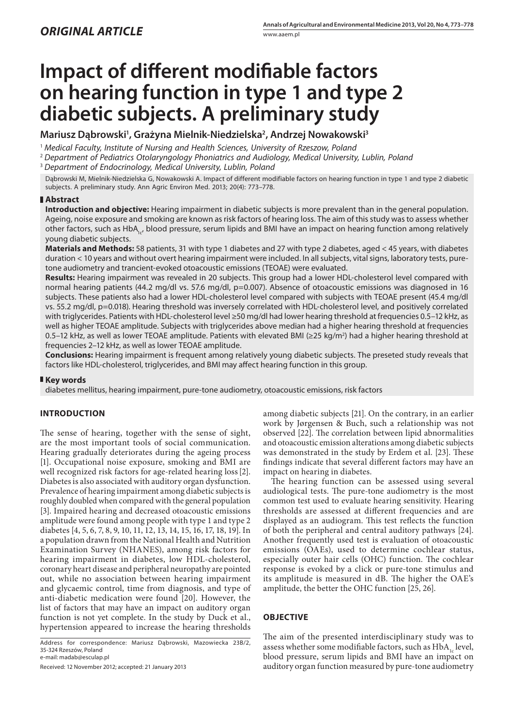# **Impact of different modifiable factors on hearing function in type 1 and type 2 diabetic subjects. A preliminary study**

Mariusz Dąbrowski<sup>1</sup>, Grażyna Mielnik-Niedzielska<sup>2</sup>, Andrzej Nowakowski<sup>3</sup>

<sup>1</sup> *Medical Faculty, Institute of Nursing and Health Sciences, University of Rzeszow, Poland*

<sup>2</sup> *Department of Pediatrics Otolaryngology Phoniatrics and Audiology, Medical University, Lublin, Poland*

<sup>3</sup> *Department of Endocrinology, Medical University, Lublin, Poland*

Dąbrowski M, Mielnik-Niedzielska G, Nowakowski A. Impact of different modifiable factors on hearing function in type 1 and type 2 diabetic subjects. A preliminary study. Ann Agric Environ Med. 2013; 20(4): 773–778.

# **Abstract**

**Introduction and objective:** Hearing impairment in diabetic subjects is more prevalent than in the general population. Ageing, noise exposure and smoking are known as risk factors of hearing loss. The aim of this study was to assess whether other factors, such as HbA<sub>1c</sub>, blood pressure, serum lipids and BMI have an impact on hearing function among relatively young diabetic subjects.

**Materials and Methods:** 58 patients, 31 with type 1 diabetes and 27 with type 2 diabetes, aged < 45 years, with diabetes duration < 10 years and without overt hearing impairment were included. In all subjects, vital signs, laboratory tests, puretone audiometry and trancient-evoked otoacoustic emissions (TEOAE) were evaluated.

**Results:** Hearing impairment was revealed in 20 subjects. This group had a lower HDL-cholesterol level compared with normal hearing patients (44.2 mg/dl vs. 57.6 mg/dl, p=0.007). Absence of otoacoustic emissions was diagnosed in 16 subjects. These patients also had a lower HDL-cholesterol level compared with subjects with TEOAE present (45.4 mg/dl vs. 55.2 mg/dl, p=0.018). Hearing threshold was inversely correlated with HDL-cholesterol level, and positively correlated with triglycerides. Patients with HDL-cholesterol level ≥50 mg/dl had lower hearing threshold at frequencies 0.5–12 kHz, as well as higher TEOAE amplitude. Subjects with triglycerides above median had a higher hearing threshold at frequencies 0.5–12 kHz, as well as lower TEOAE amplitude. Patients with elevated BMI (≥25 kg/m2 ) had a higher hearing threshold at frequencies 2–12 kHz, as well as lower TEOAE amplitude.

**Conclusions:** Hearing impairment is frequent among relatively young diabetic subjects. The preseted study reveals that factors like HDL-cholesterol, triglycerides, and BMI may affect hearing function in this group.

## **Key words**

diabetes mellitus, hearing impairment, pure-tone audiometry, otoacoustic emissions, risk factors

# **INTRODUCTION**

The sense of hearing, together with the sense of sight, are the most important tools of social communication. Hearing gradually deteriorates during the ageing process [1]. Occupational noise exposure, smoking and BMI are well recognized risk factors for age-related hearing loss[2]. Diabetes is also associated with auditory organ dysfunction. Prevalence of hearing impairment among diabetic subjects is roughly doubled when compared with the general population [3]. Impaired hearing and decreased otoacoustic emissions amplitude were found among people with type 1 and type 2 diabetes [4, 5, 6, 7, 8, 9, 10, 11, 12, 13, 14, 15, 16, 17, 18, 19]. In a population drawn from the National Health and Nutrition Examination Survey (NHANES), among risk factors for hearing impairment in diabetes, low HDL-cholesterol, coronary heart disease and peripheral neuropathy are pointed out, while no association between hearing impairment and glycaemic control, time from diagnosis, and type of anti-diabetic medication were found [20]. However, the list of factors that may have an impact on auditory organ function is not yet complete. In the study by Duck et al., hypertension appeared to increase the hearing thresholds

Received: 12 November 2012; accepted: 21 January 2013

among diabetic subjects [21]. On the contrary, in an earlier work by Jørgensen & Buch, such a relationship was not observed [22]. The correlation between lipid abnormalities and otoacoustic emission alterations among diabetic subjects was demonstrated in the study by Erdem et al. [23]. These findings indicate that several different factors may have an impact on hearing in diabetes.

The hearing function can be assessed using several audiological tests. The pure-tone audiometry is the most common test used to evaluate hearing sensitivity. Hearing thresholds are assessed at different frequencies and are displayed as an audiogram. This test reflects the function of both the peripheral and central auditory pathways [24]. Another frequently used test is evaluation of otoacoustic emissions (OAEs), used to determine cochlear status, especially outer hair cells (OHC) function. The cochlear response is evoked by a click or pure-tone stimulus and its amplitude is measured in dB. The higher the OAE's amplitude, the better the OHC function [25, 26].

# **OBJECTIVE**

The aim of the presented interdisciplinary study was to assess whether some modifiable factors, such as  $HbA<sub>1c</sub>$  level, blood pressure, serum lipids and BMI have an impact on auditory organ function measured by pure-tone audiometry

Address for correspondence: Mariusz Dąbrowski, Mazowiecka 23B/2, 35-324 Rzeszów, Poland e-mail: madab@esculap.pl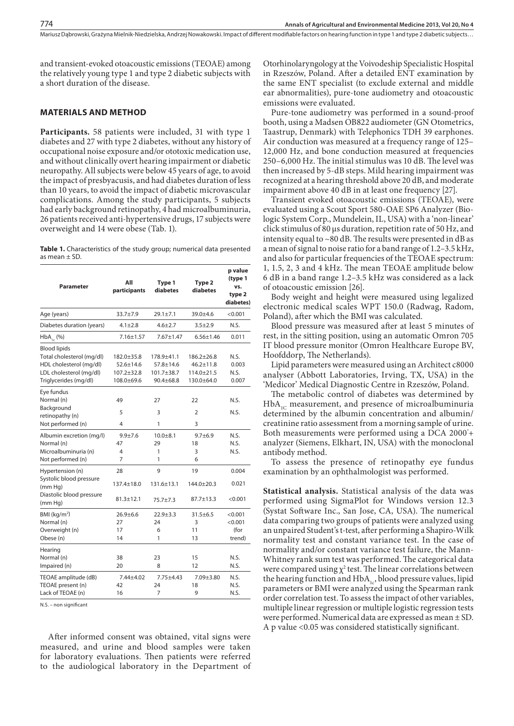and transient-evoked otoacoustic emissions (TEOAE) among the relatively young type 1 and type 2 diabetic subjects with a short duration of the disease.

## **MATERIALS AND METHOD**

**Participants.** 58 patients were included, 31 with type 1 diabetes and 27 with type 2 diabetes, without any history of occupational noise exposure and/or ototoxic medication use, and without clinically overt hearing impairment or diabetic neuropathy. All subjects were below 45 years of age, to avoid the impact of presbyacusis, and had diabetes duration of less than 10 years, to avoid the impact of diabetic microvascular complications. Among the study participants, 5 subjects had early background retinopathy, 4 had microalbuminuria, 26 patients received anti-hypertensive drugs, 17 subjects were overweight and 14 were obese (Tab. 1).

Table 1. Characteristics of the study group; numerical data presented as mean ± SD.

| <b>Parameter</b>                                                                                                                | All<br>participants                                             | Type 1<br>diabetes                                     | Type 2<br>diabetes                                                    | p value<br>(type 1<br>vs.<br>type 2<br>diabetes) |
|---------------------------------------------------------------------------------------------------------------------------------|-----------------------------------------------------------------|--------------------------------------------------------|-----------------------------------------------------------------------|--------------------------------------------------|
| Age (years)                                                                                                                     | 33.7±7.9                                                        | $29.1 \pm 7.1$                                         | 39.0±4.6                                                              | < 0.001                                          |
| Diabetes duration (years)                                                                                                       | $4.1 \pm 2.8$                                                   | $4.6 \pm 2.7$                                          | $3.5 \pm 2.9$                                                         | N.S.                                             |
| $HbA_{1c}$ (%)                                                                                                                  | $7.16 + 1.57$                                                   | $7.67 + 1.47$                                          | $6.56 + 1.46$                                                         | 0.011                                            |
| <b>Blood lipids</b><br>Total cholesterol (mg/dl)<br>HDL cholesterol (mg/dl)<br>LDL cholesterol (mg/dl)<br>Triglycerides (mg/dl) | 182.0±35.8<br>$52.6 \pm 14.6$<br>$107.2 \pm 32.8$<br>108.0±69.6 | 178.9±41.1<br>$57.8 + 14.6$<br>101.7±38.7<br>90.4±68.8 | $186.2 \pm 26.8$<br>$46.2 \pm 11.8$<br>$114.0 \pm 21.5$<br>130.0±64.0 | N.S.<br>0.003<br>N.S.<br>0.007                   |
| Eye fundus<br>Normal (n)<br>Background<br>retinopathy (n)<br>Not performed (n)                                                  | 49<br>5<br>4                                                    | 27<br>3<br>1                                           | 22<br>$\overline{2}$<br>3                                             | N.S.<br>N.S.                                     |
| Albumin excretion (mg/l)<br>Normal (n)<br>Microalbuminuria (n)<br>Not performed (n)                                             | $9.9 + 7.6$<br>47<br>4<br>7                                     | $10.0 + 8.1$<br>29<br>1<br>1                           | $9.7 + 6.9$<br>18<br>3<br>6                                           | N.S.<br>N.S.<br>N.S.                             |
| Hypertension (n)<br>Systolic blood pressure<br>(mm Hq)<br>Diastolic blood pressure<br>(mm Hg)                                   | 28<br>137.4±18.0<br>$81.3 \pm 12.1$                             | 9<br>$131.6 \pm 13.1$<br>75.7±7.3                      | 19<br>144.0±20.3<br>$87.7 \pm 13.3$                                   | 0.004<br>0.021<br>< 0.001                        |
| BMI ( $kg/m2$ )<br>Normal (n)<br>Overweight (n)<br>Obese (n)                                                                    | $26.9 + 6.6$<br>27<br>17<br>14                                  | $22.9 + 3.3$<br>24<br>6<br>1                           | $31.5 \pm 6.5$<br>3<br>11<br>13                                       | < 0.001<br>< 0.001<br>(for<br>trend)             |
| Hearing<br>Normal (n)<br>Impaired (n)                                                                                           | 38<br>20                                                        | 23<br>8                                                | 15<br>12                                                              | N.S.<br>N.S.                                     |
| TEOAE amplitude (dB)<br>TEOAE present (n)<br>Lack of TEOAE (n)                                                                  | 7.44±4.02<br>42<br>16                                           | $7.75 \pm 4.43$<br>24<br>7                             | 7.09±3.80<br>18<br>9                                                  | N.S.<br>N.S.<br>N.S.                             |

N.S. – non significant

After informed consent was obtained, vital signs were measured, and urine and blood samples were taken for laboratory evaluations. Then patients were referred to the audiological laboratory in the Department of Otorhinolaryngology at the Voivodeship Specialistic Hospital in Rzeszów, Poland. After a detailed ENT examination by the same ENT specialist (to exclude external and middle ear abnormalities), pure-tone audiometry and otoacoustic emissions were evaluated.

Pure-tone audiometry was performed in a sound-proof booth, using a Madsen OB822 audiometer (GN Otometrics, Taastrup, Denmark) with Telephonics TDH 39 earphones. Air conduction was measured at a frequency range of 125– 12,000 Hz, and bone conduction measured at frequencies 250–6,000 Hz. The initial stimulus was 10 dB. The level was then increased by 5-dB steps. Mild hearing impairment was recognized at a hearing threshold above 20 dB, and moderate impairment above 40 dB in at least one frequency [27].

Transient evoked otoacoustic emissions (TEOAE), were evaluated using a Scout Sport 580-OAE SP6 Analyzer (Biologic System Corp., Mundelein, IL, USA) with a 'non-linear' click stimulus of 80 μs duration, repetition rate of 50 Hz, and intensity equal to  $\sim$ 80 dB. The results were presented in dB as a mean of signal to noise ratio for a band range of 1.2–3.5 kHz, and also for particular frequencies of the TEOAE spectrum: 1, 1.5, 2, 3 and 4 kHz. The mean TEOAE amplitude below 6 dB in a band range 1.2–3.5 kHz was considered as a lack of otoacoustic emission [26].

Body weight and height were measured using legalized electronic medical scales WPT 150.0 (Radwag, Radom, Poland), after which the BMI was calculated.

Blood pressure was measured after at least 5 minutes of rest, in the sitting position, using an automatic Omron 705 IT blood pressure monitor (Omron Healthcare Europe BV, Hoofddorp, The Netherlands).

Lipid parameters were measured using an Architect c8000 analyser (Abbott Laboratories, Irving, TX, USA) in the 'Medicor' Medical Diagnostic Centre in Rzeszów, Poland.

The metabolic control of diabetes was determined by  $HbA_{1C}$  measurement, and presence of microalbuminuria determined by the albumin concentration and albumin/ creatinine ratio assessment from a morning sample of urine. Both measurements were performed using a DCA 2000+ analyzer (Siemens, Elkhart, IN, USA) with the monoclonal antibody method.

To assess the presence of retinopathy eye fundus examination by an ophthalmologist was performed.

**Statistical analysis.** Statistical analysis of the data was performed using SigmaPlot for Windows version 12.3 (Systat Software Inc., San Jose, CA, USA). The numerical data comparing two groups of patients were analyzed using an unpaired Student's t-test, after performing a Shapiro-Wilk normality test and constant variance test. In the case of normality and/or constant variance test failure, the Mann-Whitney rank sum test was performed. The categorical data were compared using  $\chi^2$  test. The linear correlations between the hearing function and  $HbA_{1c}$ , blood pressure values, lipid parameters or BMI were analyzed using the Spearman rank order correlation test. To assess the impact of other variables, multiple linear regression or multiple logistic regression tests were performed. Numerical data are expressed as mean ± SD. A p value <0.05 was considered statistically significant.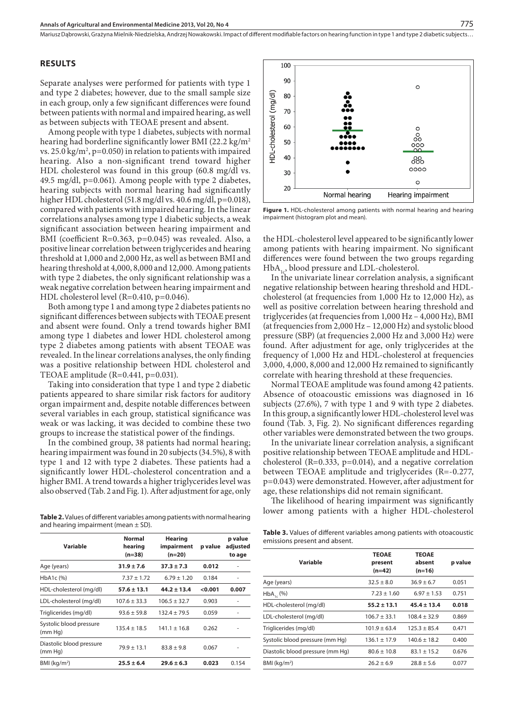#### **RESULTS**

Separate analyses were performed for patients with type 1 and type 2 diabetes; however, due to the small sample size in each group, only a few significant differences were found between patients with normal and impaired hearing, as well as between subjects with TEOAE present and absent.

Among people with type 1 diabetes, subjects with normal hearing had borderline significantly lower BMI (22.2 kg/m<sup>2</sup>) vs. 25.0 kg/m², p=0.050) in relation to patients with impaired hearing. Also a non-significant trend toward higher HDL cholesterol was found in this group (60.8 mg/dl vs. 49.5 mg/dl, p=0.061). Among people with type 2 diabetes, hearing subjects with normal hearing had significantly higher HDL cholesterol (51.8 mg/dl vs. 40.6 mg/dl, p=0.018), compared with patients with impaired hearing. In the linear correlations analyses among type 1 diabetic subjects, a weak significant association between hearing impairment and BMI (coefficient R=0.363, p=0.045) was revealed. Also, a positive linear correlation between triglycerides and hearing threshold at 1,000 and 2,000 Hz, as well as between BMI and hearing threshold at 4,000, 8,000 and 12,000. Among patients with type 2 diabetes, the only significant relationship was a weak negative correlation between hearing impairment and HDL cholesterol level (R=0.410, p=0.046).

Both among type 1 and among type 2 diabetes patients no significant differences between subjects with TEOAE present and absent were found. Only a trend towards higher BMI among type 1 diabetes and lower HDL cholesterol among type 2 diabetes among patients with absent TEOAE was revealed. In the linear correlations analyses, the only finding was a positive relationship between HDL cholesterol and TEOAE amplitude (R=0.441, p=0.031).

Taking into consideration that type 1 and type 2 diabetic patients appeared to share similar risk factors for auditory organ impairment and, despite notable differences between several variables in each group, statistical significance was weak or was lacking, it was decided to combine these two groups to increase the statistical power of the findings.

In the combined group, 38 patients had normal hearing; hearing impairment was found in 20 subjects (34.5%), 8 with type 1 and 12 with type 2 diabetes. These patients had a significantly lower HDL-cholesterol concentration and a higher BMI. A trend towards a higher triglycerides level was also observed (Tab. 2 and Fig. 1). After adjustment for age, only

and hearing impairment (mean  $\pm$  SD).

| Variable                            | <b>Normal</b><br>hearing<br>$(n=38)$ | <b>Hearing</b><br>impairment<br>$(n=20)$ | p value | p value<br>adjusted<br>to age |
|-------------------------------------|--------------------------------------|------------------------------------------|---------|-------------------------------|
| Age (years)                         | $31.9 \pm 7.6$                       | $37.3 \pm 7.3$                           | 0.012   |                               |
| HbA1c (%)                           | $7.37 \pm 1.72$                      | $6.79 \pm 1.20$                          | 0.184   |                               |
| HDL-cholesterol (mg/dl)             | $57.6 \pm 13.1$                      | $44.2 \pm 13.4$                          | < 0.001 | 0.007                         |
| LDL-cholesterol (mg/dl)             | $107.6 + 33.3$                       | $106.5 + 32.7$                           | 0.903   |                               |
| Triglicerides (mg/dl)               | $93.6 + 59.8$                        | $132.4 + 79.5$                           | 0.059   | ٠                             |
| Systolic blood pressure<br>(mm Hq)  | $135.4 \pm 18.5$                     | $141.1 \pm 16.8$                         | 0.262   |                               |
| Diastolic blood pressure<br>(mm Hq) | $79.9 + 13.1$                        | $83.8 + 9.8$                             | 0.067   |                               |
| BMI (kg/m <sup>2</sup> )            | $25.5 \pm 6.4$                       | $29.6 \pm 6.3$                           | 0.023   | 0.154                         |



Figure 1. HDL-cholesterol among patients with normal hearing and hearing impairment (histogram plot and mean).

the HDL-cholesterol level appeared to be significantly lower among patients with hearing impairment. No significant differences were found between the two groups regarding  $HbA_{1c}$ , blood pressure and LDL-cholesterol.

In the univariate linear correlation analysis, a significant negative relationship between hearing threshold and HDLcholesterol (at frequencies from 1,000 Hz to 12,000 Hz), as well as positive correlation between hearing threshold and triglycerides (at frequencies from 1,000 Hz – 4,000 Hz), BMI (at frequencies from 2,000 Hz – 12,000 Hz) and systolic blood pressure (SBP) (at frequencies 2,000 Hz and 3,000 Hz) were found. After adjustment for age, only triglycerides at the frequency of 1,000 Hz and HDL-cholesterol at frequencies 3,000, 4,000, 8,000 and 12,000 Hz remained to significantly correlate with hearing threshold at these frequencies.

Normal TEOAE amplitude was found among 42 patients. Absence of otoacoustic emissions was diagnosed in 16 subjects (27.6%), 7 with type 1 and 9 with type 2 diabetes. In this group, a significantly lower HDL-cholesterol level was found (Tab. 3, Fig. 2). No significant differences regarding other variables were demonstrated between the two groups.

In the univariate linear correlation analysis, a significant positive relationship between TEOAE amplitude and HDLcholesterol (R=0.333, p=0.014), and a negative correlation between TEOAE amplitude and triglycerides (R=-0.277, p=0.043) were demonstrated. However, after adjustment for age, these relationships did not remain significant.

The likelihood of hearing impairment was significantly lower among patients with a higher HDL-cholesterol **Table 2.** Values of different variables among patients with normal hearing

**Table 3.** Values of different variables among patients with otoacoustic emissions present and absent.

| Variable                         | <b>TEOAE</b><br>present<br>$(n=42)$ | <b>TEOAE</b><br>absent<br>$(n=16)$ | p value |
|----------------------------------|-------------------------------------|------------------------------------|---------|
| Age (years)                      | $32.5 + 8.0$                        | $36.9 \pm 6.7$                     | 0.051   |
| $HbA_{1c}$ (%)                   | $7.23 \pm 1.60$                     | $6.97 + 1.53$                      | 0.751   |
| HDL-cholesterol (mg/dl)          | $55.2 \pm 13.1$                     | $45.4 \pm 13.4$                    | 0.018   |
| LDL-cholesterol (mg/dl)          | $106.7 + 33.1$                      | $108.4 + 32.9$                     | 0.869   |
| Triglicerides (mg/dl)            | $101.9 + 63.4$                      | $125.3 + 85.4$                     | 0.471   |
| Systolic blood pressure (mm Hg)  | $136.1 \pm 17.9$                    | $140.6 \pm 18.2$                   | 0.400   |
| Diastolic blood pressure (mm Hq) | $80.6 + 10.8$                       | $83.1 \pm 15.2$                    | 0.676   |
| BMI (kg/m <sup>2</sup> )         | $26.2 + 6.9$                        | $28.8 + 5.6$                       | 0.077   |
|                                  |                                     |                                    |         |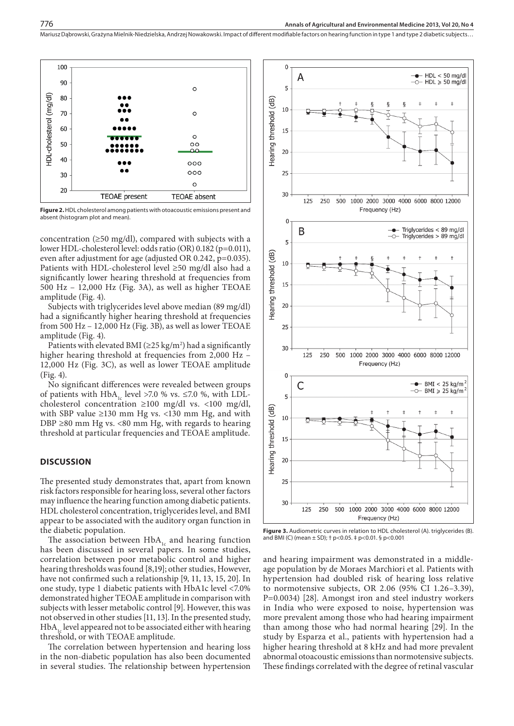

**Figure 2.** HDL cholesterol among patients with otoacoustic emissions present and absent (histogram plot and mean).

concentration ( $\geq$ 50 mg/dl), compared with subjects with a lower HDL-cholesterol level: odds ratio (OR) 0.182 (p=0.011), even after adjustment for age (adjusted OR 0.242, p=0.035). Patients with HDL-cholesterol level ≥50 mg/dl also had a significantly lower hearing threshold at frequencies from 500 Hz – 12,000 Hz (Fig. 3A), as well as higher TEOAE amplitude (Fig. 4).

Subjects with triglycerides level above median (89 mg/dl) had a significantly higher hearing threshold at frequencies from 500 Hz – 12,000 Hz (Fig. 3B), as well as lower TEOAE amplitude (Fig. 4).

Patients with elevated BMI ( $\geq$ 25 kg/m<sup>2</sup>) had a significantly higher hearing threshold at frequencies from 2,000 Hz -12,000 Hz (Fig. 3C), as well as lower TEOAE amplitude (Fig. 4).

No significant differences were revealed between groups of patients with HbA<sub>1c</sub> level >7.0 % vs. ≤7.0 %, with LDLcholesterol concentration  $\geq 100$  mg/dl vs. <100 mg/dl, with SBP value  $\geq$ 130 mm Hg vs. <130 mm Hg, and with DBP  $\geq$ 80 mm Hg vs. <80 mm Hg, with regards to hearing threshold at particular frequencies and TEOAE amplitude.

## **DISCUSSION**

The presented study demonstrates that, apart from known risk factors responsible for hearing loss, several other factors may influence the hearing function among diabetic patients. HDL cholesterol concentration, triglycerides level, and BMI appear to be associated with the auditory organ function in the diabetic population.

The association between  $HbA_{1c}$  and hearing function has been discussed in several papers. In some studies, correlation between poor metabolic control and higher hearing thresholds was found [8,19]; other studies, However, have not confirmed such a relationship [9, 11, 13, 15, 20]. In one study, type 1 diabetic patients with HbA1c level <7.0% demonstrated higher TEOAE amplitude in comparison with subjects with lesser metabolic control [9]. However, this was not observed in other studies [11, 13]. In the presented study,  $HbA<sub>1c</sub>$  level appeared not to be associated either with hearing threshold, or with TEOAE amplitude.

The correlation between hypertension and hearing loss in the non-diabetic population has also been documented in several studies. The relationship between hypertension



**Figure 3.** Audiometric curves in relation to HDL cholesterol (A). triglycerides (B). and BMI (C) (mean ± SD); † p<0.05. ‡ p<0.01. § p<0.001

and hearing impairment was demonstrated in a middleage population by de Moraes Marchiori et al. Patients with hypertension had doubled risk of hearing loss relative to normotensive subjects, OR 2.06 (95% CI 1.26–3.39), P=0.0034) [28]. Amongst iron and steel industry workers in India who were exposed to noise, hypertension was more prevalent among those who had hearing impairment than among those who had normal hearing [29]. In the study by Esparza et al., patients with hypertension had a higher hearing threshold at 8 kHz and had more prevalent abnormal otoacoustic emissions than normotensive subjects. These findings correlated with the degree of retinal vascular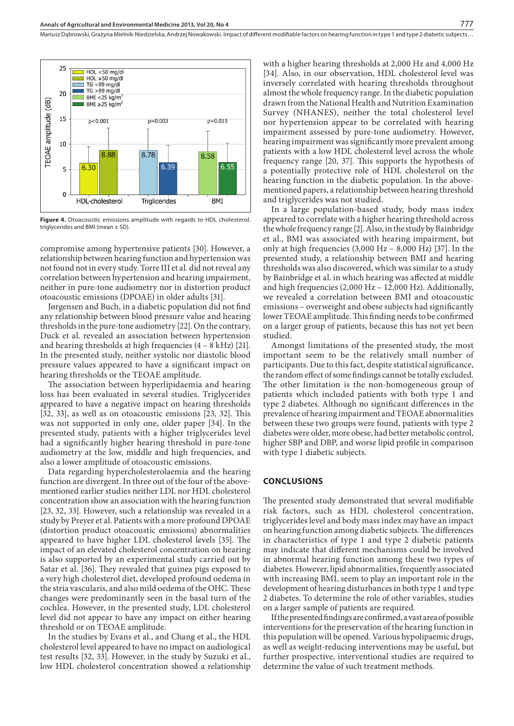

**Figure 4.** Otoacoustic emissions amplitude with regards to HDL cholesterol. triglycerides and BMI (mean ± SD).

compromise among hypertensive patients [30]. However, a relationship between hearing function and hypertension was not found not in every study. Torre III et al. did not reveal any correlation between hypertension and hearing impairment, neither in pure-tone audiometry nor in distortion product otoacoustic emissions (DPOAE) in older adults [31].

Jørgensen and Buch, in a diabetic population did not find any relationship between blood pressure value and hearing thresholds in the pure-tone audiometry [22]. On the contrary, Duck et al. revealed an association between hypertension and hearing thresholds at high frequencies  $(4 - 8$  kHz $)$  [21]. In the presented study, neither systolic nor diastolic blood pressure values appeared to have a significant impact on hearing thresholds or the TEOAE amplitude.

The association between hyperlipidaemia and hearing loss has been evaluated in several studies. Triglycerides appeared to have a negative impact on hearing thresholds [32, 33], as well as on otoacoustic emissions [23, 32]. This was not supported in only one, older paper [34]. In the presented study, patients with a higher triglycerides level had a significantly higher hearing threshold in pure-tone audiometry at the low, middle and high frequencies, and also a lower amplitude of otoacoustic emissions.

Data regarding hypercholesterolaemia and the hearing function are divergent. In three out of the four of the abovementioned earlier studies neither LDL nor HDL cholesterol concentration show an association with the hearing function [23, 32, 33]. However, such a relationship was revealed in a study by Preyer et al. Patients with a more profound DPOAE (distortion product otoacoustic emissions) abnormalities appeared to have higher LDL cholesterol levels [35]. The impact of an elevated cholesterol concentration on hearing is also supported by an experimental study carried out by Satar et al. [36]. They revealed that guinea pigs exposed to a very high cholesterol diet, developed profound oedema in the stria vascularis, and also mild oedema of the OHC. These changes were predominantly seen in the basal turn of the cochlea. However, in the presented study, LDL cholesterol level did not appear to have any impact on either hearing threshold or on TEOAE amplitude.

In the studies by Evans et al., and Chang et al., the HDL cholesterol level appeared to have no impact on audiological test results [32, 33]. However, in the study by Suzuki et al., low HDL cholesterol concentration showed a relationship with a higher hearing thresholds at 2,000 Hz and 4,000 Hz [34]. Also, in our observation, HDL cholesterol level was inversely correlated with hearing thresholds throughout almost the whole frequency range. In the diabetic population drawn from the National Health and Nutrition Examination Survey (NHANES), neither the total cholesterol level nor hypertension appear to be correlated with hearing impairment assessed by pure-tone audiometry. However, hearing impairment was significantly more prevalent among patients with a low HDL cholesterol level across the whole frequency range [20, 37]. This supports the hypothesis of a potentially protective role of HDL cholesterol on the hearing function in the diabetic population. In the abovementioned papers, a relationship between hearing threshold and triglycerides was not studied.

In a large population-based study, body mass index appeared to correlate with a higher hearing threshold across the whole frequency range [2]. Also, in the study by Bainbridge et al., BMI was associated with hearing impairment, but only at high frequencies (3,000 Hz – 8,000 Hz) [37]. In the presented study, a relationship between BMI and hearing thresholds was also discovered, which was similar to a study by Bainbridge et al. in which hearing was affected at middle and high frequencies (2,000 Hz – 12,000 Hz). Additionally, we revealed a correlation between BMI and otoacoustic emissions – overweight and obese subjects had significantly lower TEOAE amplitude. This finding needs to be confirmed on a larger group of patients, because this has not yet been studied.

Amongst limitations of the presented study, the most important seem to be the relatively small number of participants. Due to this fact, despite statistical significance, the random effect of some findings cannot be totally excluded. The other limitation is the non-homogeneous group of patients which included patients with both type 1 and type 2 diabetes. Although no significant differences in the prevalence of hearing impairment and TEOAE abnormalities between these two groups were found, patients with type 2 diabetes were older, more obese, had better metabolic control, higher SBP and DBP, and worse lipid profile in comparison with type 1 diabetic subjects.

#### **CONCLUSIONS**

The presented study demonstrated that several modifiable risk factors, such as HDL cholesterol concentration, triglycerides level and body mass index may have an impact on hearing function among diabetic subjects. The differences in characteristics of type 1 and type 2 diabetic patients may indicate that different mechanisms could be involved in abnormal hearing function among these two types of diabetes. However, lipid abnormalities, frequently associated with increasing BMI, seem to play an important role in the development of hearing disturbances in both type 1 and type 2 diabetes. To determine the role of other variables, studies on a larger sample of patients are required.

If the presented findings are confirmed, a vast area of possible interventions for the preservation of the hearing function in this population will be opened. Various hypolipaemic drugs, as well as weight-reducing interventions may be useful, but further prospective, interventional studies are required to determine the value of such treatment methods.